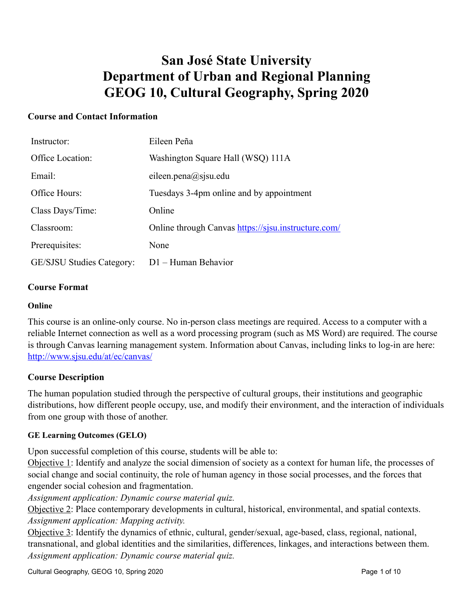# **San José State University Department of Urban and Regional Planning GEOG 10, Cultural Geography, Spring 2020**

## **Course and Contact Information**

| Instructor:                      | Eileen Peña                                         |
|----------------------------------|-----------------------------------------------------|
| Office Location:                 | Washington Square Hall (WSQ) 111A                   |
| Email:                           | eileen.pena $(a)$ sjsu.edu                          |
| Office Hours:                    | Tuesdays 3-4pm online and by appointment            |
| Class Days/Time:                 | Online                                              |
| Classroom:                       | Online through Canvas https://sjsu.instructure.com/ |
| Prerequisites:                   | None                                                |
| <b>GE/SJSU Studies Category:</b> | $D1$ – Human Behavior                               |

#### **Course Format**

#### **Online**

This course is an online-only course. No in-person class meetings are required. Access to a computer with a reliable Internet connection as well as a word processing program (such as MS Word) are required. The course is through Canvas learning management system. Information about Canvas, including links to log-in are here: <http://www.sjsu.edu/at/ec/canvas/>

#### **Course Description**

The human population studied through the perspective of cultural groups, their institutions and geographic distributions, how different people occupy, use, and modify their environment, and the interaction of individuals from one group with those of another.

#### **GE Learning Outcomes (GELO)**

Upon successful completion of this course, students will be able to:

Objective 1: Identify and analyze the social dimension of society as a context for human life, the processes of social change and social continuity, the role of human agency in those social processes, and the forces that engender social cohesion and fragmentation.

*Assignment application: Dynamic course material quiz.* 

Objective 2: Place contemporary developments in cultural, historical, environmental, and spatial contexts. *Assignment application: Mapping activity.* 

Objective 3: Identify the dynamics of ethnic, cultural, gender/sexual, age-based, class, regional, national, transnational, and global identities and the similarities, differences, linkages, and interactions between them. *Assignment application: Dynamic course material quiz.*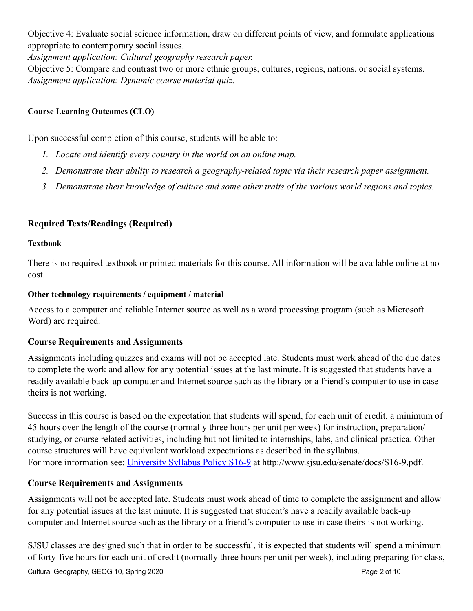Objective 4: Evaluate social science information, draw on different points of view, and formulate applications appropriate to contemporary social issues.

*Assignment application: Cultural geography research paper.* 

Objective 5: Compare and contrast two or more ethnic groups, cultures, regions, nations, or social systems. *Assignment application: Dynamic course material quiz.*

## **Course Learning Outcomes (CLO)**

Upon successful completion of this course, students will be able to:

- *1. Locate and identify every country in the world on an online map.*
- *2. Demonstrate their ability to research a geography-related topic via their research paper assignment.*
- *3. Demonstrate their knowledge of culture and some other traits of the various world regions and topics.*

## **Required Texts/Readings (Required)**

#### **Textbook**

There is no required textbook or printed materials for this course. All information will be available online at no cost.

## **Other technology requirements / equipment / material**

Access to a computer and reliable Internet source as well as a word processing program (such as Microsoft Word) are required.

## **Course Requirements and Assignments**

Assignments including quizzes and exams will not be accepted late. Students must work ahead of the due dates to complete the work and allow for any potential issues at the last minute. It is suggested that students have a readily available back-up computer and Internet source such as the library or a friend's computer to use in case theirs is not working.

Success in this course is based on the expectation that students will spend, for each unit of credit, a minimum of 45 hours over the length of the course (normally three hours per unit per week) for instruction, preparation/ studying, or course related activities, including but not limited to internships, labs, and clinical practica. Other course structures will have equivalent workload expectations as described in the syllabus. For more information see: [University Syllabus Policy S16-9](http://www.sjsu.edu/senate/docs/S16-9.pdf) at http://www.sjsu.edu/senate/docs/S16-9.pdf.

## **Course Requirements and Assignments**

Assignments will not be accepted late. Students must work ahead of time to complete the assignment and allow for any potential issues at the last minute. It is suggested that student's have a readily available back-up computer and Internet source such as the library or a friend's computer to use in case theirs is not working.

SJSU classes are designed such that in order to be successful, it is expected that students will spend a minimum of forty-five hours for each unit of credit (normally three hours per unit per week), including preparing for class, Cultural Geography, GEOG 10, Spring 2020 **Page 2 of 10** Page 2 of 10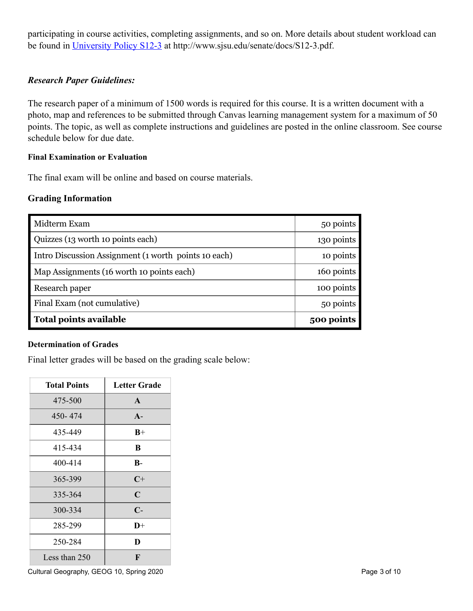participating in course activities, completing assignments, and so on. More details about student workload can be found in [University Policy S12-3](http://www.sjsu.edu/senate/docs/S12-3.pdf) at http://www.sjsu.edu/senate/docs/S12-3.pdf.

## *Research Paper Guidelines:*

The research paper of a minimum of 1500 words is required for this course. It is a written document with a photo, map and references to be submitted through Canvas learning management system for a maximum of 50 points. The topic, as well as complete instructions and guidelines are posted in the online classroom. See course schedule below for due date.

#### **Final Examination or Evaluation**

The final exam will be online and based on course materials.

## **Grading Information**

| Midterm Exam                                         | 50 points  |
|------------------------------------------------------|------------|
| Quizzes (13 worth 10 points each)                    | 130 points |
| Intro Discussion Assignment (1 worth points 10 each) | 10 points  |
| Map Assignments (16 worth 10 points each)            | 160 points |
| Research paper                                       | 100 points |
| Final Exam (not cumulative)                          | 50 points  |
| Total points available                               | 500 points |

#### **Determination of Grades**

Final letter grades will be based on the grading scale below:

| <b>Total Points</b> | <b>Letter Grade</b> |
|---------------------|---------------------|
| 475-500             | $\mathbf{A}$        |
| 450-474             | $A -$               |
| 435-449             | $B+$                |
| 415-434             | B                   |
| 400-414             | $B -$               |
| 365-399             | $C+$                |
| 335-364             | $\mathbf C$         |
| 300-334             | $\mathbf{C}$        |
| 285-299             | $\mathbf{D}+$       |
| 250-284             | D                   |
| Less than $250$     | F                   |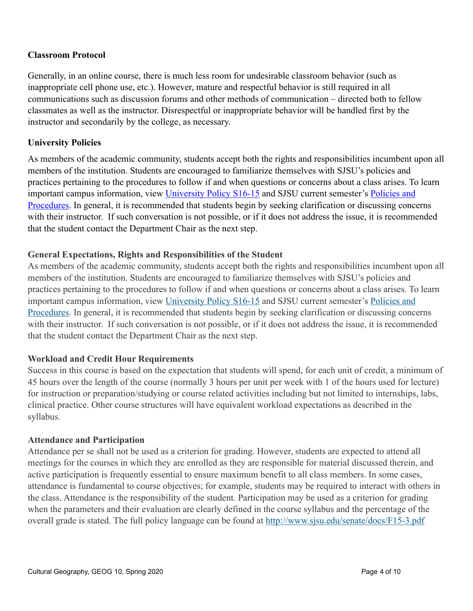## **Classroom Protocol**

Generally, in an online course, there is much less room for undesirable classroom behavior (such as inappropriate cell phone use, etc.). However, mature and respectful behavior is still required in all communications such as discussion forums and other methods of communication – directed both to fellow classmates as well as the instructor. Disrespectful or inappropriate behavior will be handled first by the instructor and secondarily by the college, as necessary.

## **University Policies**

As members of the academic community, students accept both the rights and responsibilities incumbent upon all members of the institution. Students are encouraged to familiarize themselves with SJSU's policies and practices pertaining to the procedures to follow if and when questions or concerns about a class arises. To learn important campus information, view [University Policy S16-15](http://www.sjsu.edu/senate/docs/S16-15.pdf) and SJSU current semester's Policies and [Procedures](http://info.sjsu.edu/static/catalog/policies.html). In general, it is recommended that students begin by seeking clarification or discussing concerns with their instructor. If such conversation is not possible, or if it does not address the issue, it is recommended that the student contact the Department Chair as the next step.

## **General Expectations, Rights and Responsibilities of the Student**

As members of the academic community, students accept both the rights and responsibilities incumbent upon all members of the institution. Students are encouraged to familiarize themselves with SJSU's policies and practices pertaining to the procedures to follow if and when questions or concerns about a class arises. To learn important campus information, view [University Policy S16-15](http://www.sjsu.edu/senate/docs/S16-15.pdf) and SJSU current semester's [Policies and](http://info.sjsu.edu/static/policies/policies.html)  [Procedures](http://info.sjsu.edu/static/policies/policies.html). In general, it is recommended that students begin by seeking clarification or discussing concerns with their instructor. If such conversation is not possible, or if it does not address the issue, it is recommended that the student contact the Department Chair as the next step.

#### **Workload and Credit Hour Requirements**

Success in this course is based on the expectation that students will spend, for each unit of credit, a minimum of 45 hours over the length of the course (normally 3 hours per unit per week with 1 of the hours used for lecture) for instruction or preparation/studying or course related activities including but not limited to internships, labs, clinical practice. Other course structures will have equivalent workload expectations as described in the syllabus.

#### **Attendance and Participation**

Attendance per se shall not be used as a criterion for grading. However, students are expected to attend all meetings for the courses in which they are enrolled as they are responsible for material discussed therein, and active participation is frequently essential to ensure maximum benefit to all class members. In some cases, attendance is fundamental to course objectives; for example, students may be required to interact with others in the class. Attendance is the responsibility of the student. Participation may be used as a criterion for grading when the parameters and their evaluation are clearly defined in the course syllabus and the percentage of the overall grade is stated. The full policy language can be found at <http://www.sjsu.edu/senate/docs/F15-3.pdf>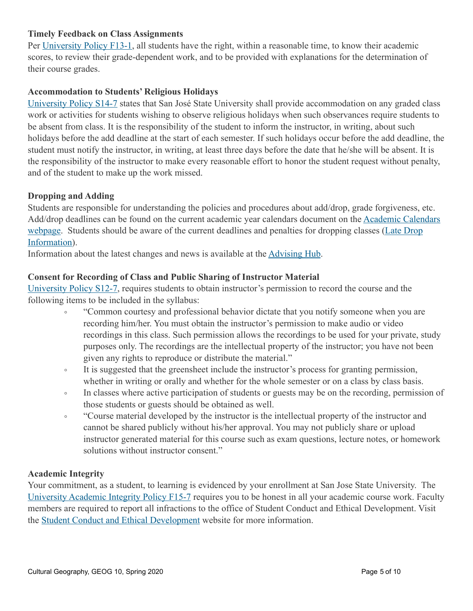## **Timely Feedback on Class Assignments**

Per [University Policy F13-1,](http://www.sjsu.edu/senate/docs/F13-1.pdf) all students have the right, within a reasonable time, to know their academic scores, to review their grade-dependent work, and to be provided with explanations for the determination of their course grades.

## **Accommodation to Students' Religious Holidays**

[University Policy S14-7](http://www.sjsu.edu/senate/docs/S14-7.pdf) states that San José State University shall provide accommodation on any graded class work or activities for students wishing to observe religious holidays when such observances require students to be absent from class. It is the responsibility of the student to inform the instructor, in writing, about such holidays before the add deadline at the start of each semester. If such holidays occur before the add deadline, the student must notify the instructor, in writing, at least three days before the date that he/she will be absent. It is the responsibility of the instructor to make every reasonable effort to honor the student request without penalty, and of the student to make up the work missed.

#### **Dropping and Adding**

Students are responsible for understanding the policies and procedures about add/drop, grade forgiveness, etc. Add/drop deadlines can be found on the current academic year calendars document on the [Academic Calendars](http://www.sjsu.edu/provost/services/academic_calendars/)  [webpage.](http://www.sjsu.edu/provost/services/academic_calendars/) Students should be aware of the current deadlines and penalties for dropping classes ([Late Drop](http://www.sjsu.edu/aars/policies/latedrops/policy/)  [Information](http://www.sjsu.edu/aars/policies/latedrops/policy/)).

Information about the latest changes and news is available at the [Advising Hub](http://www.sjsu.edu/advising/).

## **Consent for Recording of Class and Public Sharing of Instructor Material**

[University Policy S12-7,](http://www.sjsu.edu/senate/docs/S12-7.pdf) requires students to obtain instructor's permission to record the course and the following items to be included in the syllabus:

- "Common courtesy and professional behavior dictate that you notify someone when you are recording him/her. You must obtain the instructor's permission to make audio or video recordings in this class. Such permission allows the recordings to be used for your private, study purposes only. The recordings are the intellectual property of the instructor; you have not been given any rights to reproduce or distribute the material."
- It is suggested that the greensheet include the instructor's process for granting permission, whether in writing or orally and whether for the whole semester or on a class by class basis.
- In classes where active participation of students or guests may be on the recording, permission of those students or guests should be obtained as well.
- "Course material developed by the instructor is the intellectual property of the instructor and cannot be shared publicly without his/her approval. You may not publicly share or upload instructor generated material for this course such as exam questions, lecture notes, or homework solutions without instructor consent."

#### **Academic Integrity**

Your commitment, as a student, to learning is evidenced by your enrollment at San Jose State University. The [University Academic Integrity Policy F15-7](http://www.sjsu.edu/senate/docs/F15-7.pdf) requires you to be honest in all your academic course work. Faculty members are required to report all infractions to the office of Student Conduct and Ethical Development. Visit the [Student Conduct and Ethical Development](http://www.sjsu.edu/studentconduct/) website for more information.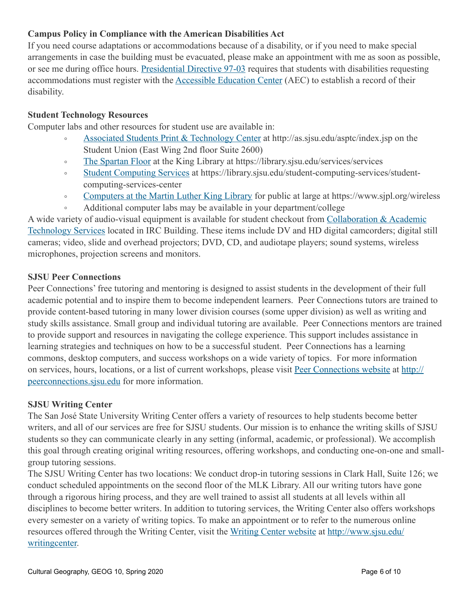## **Campus Policy in Compliance with the American Disabilities Act**

If you need course adaptations or accommodations because of a disability, or if you need to make special arrangements in case the building must be evacuated, please make an appointment with me as soon as possible, or see me during office hours. [Presidential Directive 97-03](http://www.sjsu.edu/president/docs/directives/PD_1997-03.pdf) requires that students with disabilities requesting accommodations must register with the [Accessible Education Center](http://www.sjsu.edu/aec) (AEC) to establish a record of their disability.

## **Student Technology Resources**

Computer labs and other resources for student use are available in:

- [Associated Students Print & Technology Center](http://as.sjsu.edu/asptc/index.jsp) at http://as.sjsu.edu/asptc/index.jsp on the Student Union (East Wing 2nd floor Suite 2600)
- [The Spartan Floor](https://library.sjsu.edu/services/services) at the King Library at https://library.sjsu.edu/services/services
- [Student Computing Services](https://library.sjsu.edu/student-computing-services/student-computing-services-center) at https://library.sjsu.edu/student-computing-services/studentcomputing-services-center
- [Computers at the Martin Luther King Library](https://www.sjpl.org/wireless) for public at large at https://www.sjpl.org/wireless
- Additional computer labs may be available in your department/college

A wide variety of audio-visual equipment is available for student checkout from [Collaboration & Academic](http://www.sjsu.edu/at/)  [Technology Services](http://www.sjsu.edu/at/) located in IRC Building. These items include DV and HD digital camcorders; digital still cameras; video, slide and overhead projectors; DVD, CD, and audiotape players; sound systems, wireless microphones, projection screens and monitors.

#### **SJSU Peer Connections**

Peer Connections' free tutoring and mentoring is designed to assist students in the development of their full academic potential and to inspire them to become independent learners. Peer Connections tutors are trained to provide content-based tutoring in many lower division courses (some upper division) as well as writing and study skills assistance. Small group and individual tutoring are available. Peer Connections mentors are trained to provide support and resources in navigating the college experience. This support includes assistance in learning strategies and techniques on how to be a successful student. Peer Connections has a learning commons, desktop computers, and success workshops on a wide variety of topics. For more information on services, hours, locations, or a list of current workshops, please visit [Peer Connections website](http://peerconnections.sjsu.edu/) at [http://](http://peerconnections.sjsu.edu/) [peerconnections.sjsu.edu](http://peerconnections.sjsu.edu/) for more information.

#### **SJSU Writing Center**

The San José State University Writing Center offers a variety of resources to help students become better writers, and all of our services are free for SJSU students. Our mission is to enhance the writing skills of SJSU students so they can communicate clearly in any setting (informal, academic, or professional). We accomplish this goal through creating original writing resources, offering workshops, and conducting one-on-one and smallgroup tutoring sessions.

The SJSU Writing Center has two locations: We conduct drop-in tutoring sessions in Clark Hall, Suite 126; we conduct scheduled appointments on the second floor of the MLK Library. All our writing tutors have gone through a rigorous hiring process, and they are well trained to assist all students at all levels within all disciplines to become better writers. In addition to tutoring services, the Writing Center also offers workshops every semester on a variety of writing topics. To make an appointment or to refer to the numerous online resources offered through the Writing Center, visit the [Writing Center website](http://www.sjsu.edu/writingcenter) at [http://www.sjsu.edu/](http://www.sjsu.edu/writingcenter) [writingcenter.](http://www.sjsu.edu/writingcenter)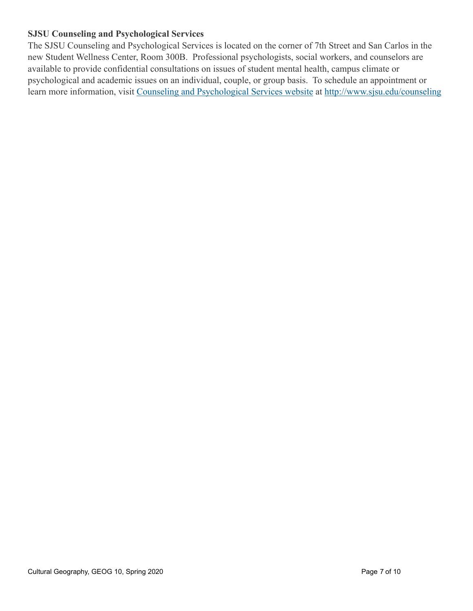## **SJSU Counseling and Psychological Services**

The SJSU Counseling and Psychological Services is located on the corner of 7th Street and San Carlos in the new Student Wellness Center, Room 300B. Professional psychologists, social workers, and counselors are available to provide confidential consultations on issues of student mental health, campus climate or psychological and academic issues on an individual, couple, or group basis. To schedule an appointment or learn more information, visit [Counseling and Psychological Services website](http://www.sjsu.edu/counseling) at<http://www.sjsu.edu/counseling>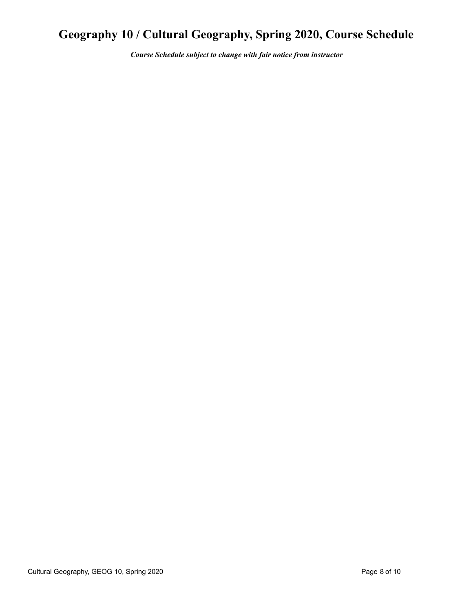## **Geography 10 / Cultural Geography, Spring 2020, Course Schedule**

*Course Schedule subject to change with fair notice from instructor*